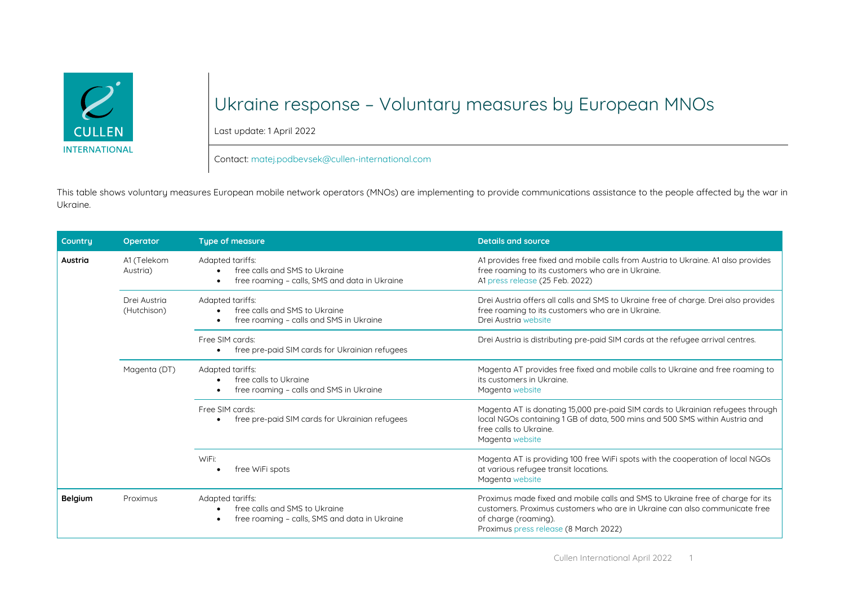

## Ukraine response – Voluntary measures by European MNOs

Last update: 1 April 2022

## Contact: [matej.podbevsek@cullen-international.com](mailto:matej.podbevsek@cullen-international.com)

This table shows voluntary measures European mobile network operators (MNOs) are implementing to provide communications assistance to the people affected by the war in Ukraine.

| Countru | Operator                    | <b>Type of measure</b>                                                                                                       | <b>Details and source</b>                                                                                                                                                                                                     |
|---------|-----------------------------|------------------------------------------------------------------------------------------------------------------------------|-------------------------------------------------------------------------------------------------------------------------------------------------------------------------------------------------------------------------------|
| Austria | A1 (Telekom<br>Austria)     | Adapted tariffs:<br>free calls and SMS to Ukraine<br>free roaming - calls, SMS and data in Ukraine<br>$\bullet$              | A1 provides free fixed and mobile calls from Austria to Ukraine. A1 also provides<br>free roaming to its customers who are in Ukraine.<br>A1 press release (25 Feb. 2022)                                                     |
|         | Drei Austria<br>(Hutchison) | Adapted tariffs:<br>free calls and SMS to Ukraine<br>$\bullet$<br>free roaming - calls and SMS in Ukraine<br>$\bullet$       | Drei Austria offers all calls and SMS to Ukraine free of charge. Drei also provides<br>free roaming to its customers who are in Ukraine.<br>Drei Austria website                                                              |
|         |                             | Free SIM cards:<br>free pre-paid SIM cards for Ukrainian refugees<br>$\bullet$                                               | Drei Austria is distributing pre-paid SIM cards at the refugee arrival centres.                                                                                                                                               |
|         | Magenta (DT)                | Adapted tariffs:<br>free calls to Ukraine<br>$\bullet$<br>free roaming - calls and SMS in Ukraine<br>$\bullet$               | Magenta AT provides free fixed and mobile calls to Ukraine and free roaming to<br>its customers in Ukraine.<br>Magenta website                                                                                                |
|         |                             | Free SIM cards:<br>free pre-paid SIM cards for Ukrainian refugees<br>$\bullet$                                               | Magenta AT is donating 15,000 pre-paid SIM cards to Ukrainian refugees through<br>local NGOs containing 1 GB of data, 500 mins and 500 SMS within Austria and<br>free calls to Ukraine.<br>Magenta website                    |
|         |                             | WiFi:<br>free WiFi spots                                                                                                     | Magenta AT is providing 100 free WiFi spots with the cooperation of local NGOs<br>at various refugee transit locations.<br>Magenta website                                                                                    |
| Belgium | Proximus                    | Adapted tariffs:<br>free calls and SMS to Ukraine<br>$\bullet$<br>free roaming - calls, SMS and data in Ukraine<br>$\bullet$ | Proximus made fixed and mobile calls and SMS to Ukraine free of charge for its<br>customers. Proximus customers who are in Ukraine can also communicate free<br>of charge (roaming).<br>Proximus press release (8 March 2022) |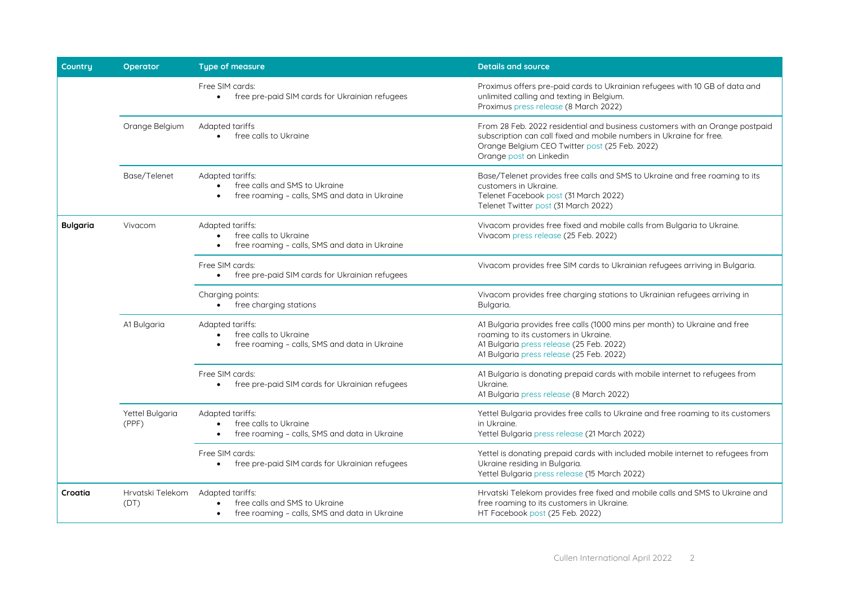| Country         | <b>Operator</b>          | <b>Type of measure</b>                                                                                  | <b>Details and source</b>                                                                                                                                                                                                        |
|-----------------|--------------------------|---------------------------------------------------------------------------------------------------------|----------------------------------------------------------------------------------------------------------------------------------------------------------------------------------------------------------------------------------|
|                 |                          | Free SIM cards:<br>free pre-paid SIM cards for Ukrainian refugees<br>$\bullet$                          | Proximus offers pre-paid cards to Ukrainian refugees with 10 GB of data and<br>unlimited calling and texting in Belgium.<br>Proximus press release (8 March 2022)                                                                |
|                 | Orange Belgium           | Adapted tariffs<br>free calls to Ukraine                                                                | From 28 Feb. 2022 residential and business customers with an Orange postpaid<br>subscription can call fixed and mobile numbers in Ukraine for free.<br>Orange Belgium CEO Twitter post (25 Feb. 2022)<br>Orange post on Linkedin |
|                 | Base/Telenet             | Adapted tariffs:<br>free calls and SMS to Ukraine<br>free roaming - calls, SMS and data in Ukraine      | Base/Telenet provides free calls and SMS to Ukraine and free roaming to its<br>customers in Ukraine.<br>Telenet Facebook post (31 March 2022)<br>Telenet Twitter post (31 March 2022)                                            |
| <b>Bulgaria</b> | Vivacom                  | Adapted tariffs:<br>free calls to Ukraine<br>free roaming - calls, SMS and data in Ukraine              | Vivacom provides free fixed and mobile calls from Bulgaria to Ukraine.<br>Vivacom press release (25 Feb. 2022)                                                                                                                   |
|                 |                          | Free SIM cards:<br>• free pre-paid SIM cards for Ukrainian refugees                                     | Vivacom provides free SIM cards to Ukrainian refugees arriving in Bulgaria.                                                                                                                                                      |
|                 |                          | Charging points:<br>• free charging stations                                                            | Vivacom provides free charging stations to Ukrainian refugees arriving in<br>Bulgaria.                                                                                                                                           |
|                 | A1 Bulgaria              | Adapted tariffs:<br>free calls to Ukraine<br>free roaming - calls, SMS and data in Ukraine              | A1 Bulgaria provides free calls (1000 mins per month) to Ukraine and free<br>roaming to its customers in Ukraine.<br>A1 Bulgaria press release (25 Feb. 2022)<br>A1 Bulgaria press release (25 Feb. 2022)                        |
|                 |                          | Free SIM cards:<br>• free pre-paid SIM cards for Ukrainian refugees                                     | A1 Bulgaria is donating prepaid cards with mobile internet to refugees from<br>Ukraine.<br>A1 Bulgaria press release (8 March 2022)                                                                                              |
|                 | Yettel Bulgaria<br>(PPF) | Adapted tariffs:<br>free calls to Ukraine<br>free roaming - calls, SMS and data in Ukraine<br>$\bullet$ | Yettel Bulgaria provides free calls to Ukraine and free roaming to its customers<br>in Ukraine.<br>Yettel Bulgaria press release (21 March 2022)                                                                                 |
|                 |                          | Free SIM cards:<br>free pre-paid SIM cards for Ukrainian refugees                                       | Yettel is donating prepaid cards with included mobile internet to refugees from<br>Ukraine residing in Bulgaria.<br>Yettel Bulgaria press release (15 March 2022)                                                                |
| Croatia         | Hrvatski Telekom<br>(DT) | Adapted tariffs:<br>free calls and SMS to Ukraine<br>free roaming - calls, SMS and data in Ukraine      | Hrvatski Telekom provides free fixed and mobile calls and SMS to Ukraine and<br>free roaming to its customers in Ukraine.<br>HT Facebook post (25 Feb. 2022)                                                                     |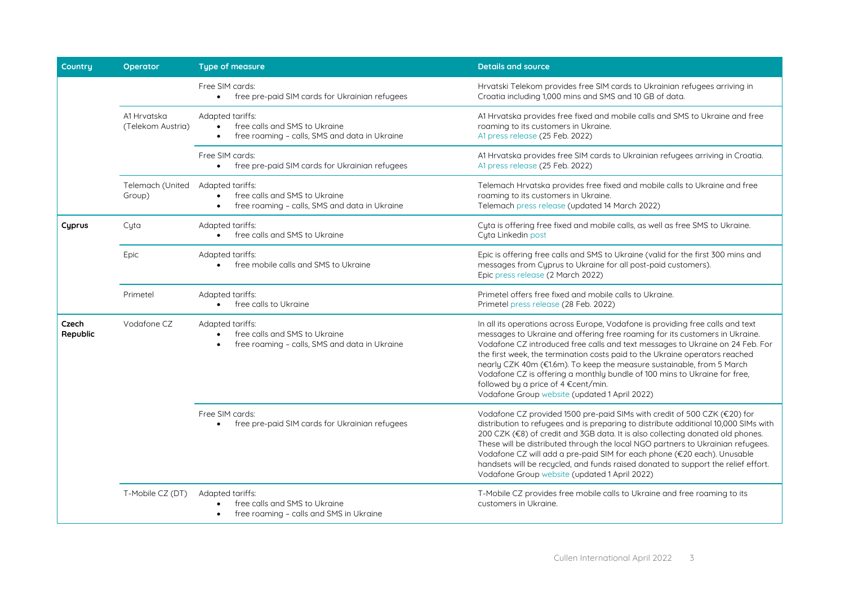| <b>Countru</b>    | Operator                         | <b>Type of measure</b>                                                                                          | <b>Details and source</b>                                                                                                                                                                                                                                                                                                                                                                                                                                                                                                                                                   |
|-------------------|----------------------------------|-----------------------------------------------------------------------------------------------------------------|-----------------------------------------------------------------------------------------------------------------------------------------------------------------------------------------------------------------------------------------------------------------------------------------------------------------------------------------------------------------------------------------------------------------------------------------------------------------------------------------------------------------------------------------------------------------------------|
|                   |                                  | Free SIM cards:<br>free pre-paid SIM cards for Ukrainian refugees<br>$\bullet$                                  | Hrvatski Telekom provides free SIM cards to Ukrainian refugees arriving in<br>Croatia including 1,000 mins and SMS and 10 GB of data.                                                                                                                                                                                                                                                                                                                                                                                                                                       |
|                   | A1 Hrvatska<br>(Telekom Austria) | Adapted tariffs:<br>free calls and SMS to Ukraine<br>free roaming - calls, SMS and data in Ukraine              | A1 Hrvatska provides free fixed and mobile calls and SMS to Ukraine and free<br>roaming to its customers in Ukraine.<br>A1 press release (25 Feb. 2022)                                                                                                                                                                                                                                                                                                                                                                                                                     |
|                   |                                  | Free SIM cards:<br>free pre-paid SIM cards for Ukrainian refugees<br>$\bullet$                                  | A1 Hrvatska provides free SIM cards to Ukrainian refugees arriving in Croatia.<br>A1 press release (25 Feb. 2022)                                                                                                                                                                                                                                                                                                                                                                                                                                                           |
|                   | Telemach (United<br>Group)       | Adapted tariffs:<br>free calls and SMS to Ukraine<br>free roaming - calls, SMS and data in Ukraine<br>$\bullet$ | Telemach Hrvatska provides free fixed and mobile calls to Ukraine and free<br>roaming to its customers in Ukraine.<br>Telemach press release (updated 14 March 2022)                                                                                                                                                                                                                                                                                                                                                                                                        |
| Cyprus            | Cyta                             | Adapted tariffs:<br>free calls and SMS to Ukraine<br>$\bullet$                                                  | Cyta is offering free fixed and mobile calls, as well as free SMS to Ukraine.<br>Cyta Linkedin post                                                                                                                                                                                                                                                                                                                                                                                                                                                                         |
|                   | Epic                             | Adapted tariffs:<br>free mobile calls and SMS to Ukraine                                                        | Epic is offering free calls and SMS to Ukraine (valid for the first 300 mins and<br>messages from Cyprus to Ukraine for all post-paid customers).<br>Epic press release (2 March 2022)                                                                                                                                                                                                                                                                                                                                                                                      |
|                   | Primetel                         | Adapted tariffs:<br>free calls to Ukraine<br>$\bullet$                                                          | Primetel offers free fixed and mobile calls to Ukraine.<br>Primetel press release (28 Feb. 2022)                                                                                                                                                                                                                                                                                                                                                                                                                                                                            |
| Czech<br>Republic | Vodafone CZ                      | Adapted tariffs:<br>free calls and SMS to Ukraine<br>free roaming - calls, SMS and data in Ukraine              | In all its operations across Europe, Vodafone is providing free calls and text<br>messages to Ukraine and offering free roaming for its customers in Ukraine.<br>Vodafone CZ introduced free calls and text messages to Ukraine on 24 Feb. For<br>the first week, the termination costs paid to the Ukraine operators reached<br>nearly CZK 40m (€1.6m). To keep the measure sustainable, from 5 March<br>Vodafone CZ is offering a monthly bundle of 100 mins to Ukraine for free,<br>followed by a price of 4 €cent/min.<br>Vodafone Group website (updated 1 April 2022) |
|                   |                                  | Free SIM cards:<br>free pre-paid SIM cards for Ukrainian refugees<br>$\bullet$                                  | Vodafone CZ provided 1500 pre-paid SIMs with credit of 500 CZK (€20) for<br>distribution to refugees and is preparing to distribute additional 10,000 SIMs with<br>200 CZK (€8) of credit and 3GB data. It is also collecting donated old phones.<br>These will be distributed through the local NGO partners to Ukrainian refugees.<br>Vodafone CZ will add a pre-paid SIM for each phone (€20 each). Unusable<br>handsets will be recycled, and funds raised donated to support the relief effort.<br>Vodafone Group website (updated 1 April 2022)                       |
|                   | T-Mobile CZ (DT)                 | Adapted tariffs:<br>free calls and SMS to Ukraine<br>free roaming - calls and SMS in Ukraine                    | T-Mobile CZ provides free mobile calls to Ukraine and free roaming to its<br>customers in Ukraine.                                                                                                                                                                                                                                                                                                                                                                                                                                                                          |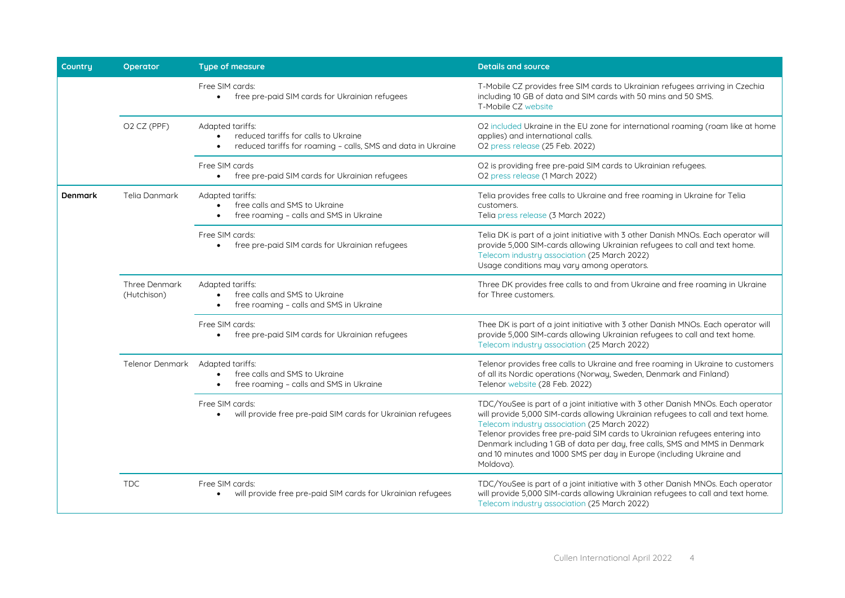| Country | <b>Operator</b>                     | <b>Type of measure</b>                                                                                                   | <b>Details and source</b>                                                                                                                                                                                                                                                                                                                                                                                                                                              |
|---------|-------------------------------------|--------------------------------------------------------------------------------------------------------------------------|------------------------------------------------------------------------------------------------------------------------------------------------------------------------------------------------------------------------------------------------------------------------------------------------------------------------------------------------------------------------------------------------------------------------------------------------------------------------|
|         |                                     | Free SIM cards:<br>free pre-paid SIM cards for Ukrainian refugees<br>$\bullet$                                           | T-Mobile CZ provides free SIM cards to Ukrainian refugees arriving in Czechia<br>including 10 GB of data and SIM cards with 50 mins and 50 SMS.<br>T-Mobile CZ website                                                                                                                                                                                                                                                                                                 |
|         | O <sub>2</sub> C <sub>Z</sub> (PPF) | Adapted tariffs:<br>reduced tariffs for calls to Ukraine<br>reduced tariffs for roaming - calls, SMS and data in Ukraine | O2 included Ukraine in the EU zone for international roaming (roam like at home<br>applies) and international calls.<br>O2 press release (25 Feb. 2022)                                                                                                                                                                                                                                                                                                                |
|         |                                     | Free SIM cards<br>free pre-paid SIM cards for Ukrainian refugees<br>$\bullet$                                            | O2 is providing free pre-paid SIM cards to Ukrainian refugees.<br>O2 press release (1 March 2022)                                                                                                                                                                                                                                                                                                                                                                      |
| Denmark | <b>Telia Danmark</b>                | Adapted tariffs:<br>free calls and SMS to Ukraine<br>free roaming - calls and SMS in Ukraine                             | Telia provides free calls to Ukraine and free roaming in Ukraine for Telia<br>customers.<br>Telia press release (3 March 2022)                                                                                                                                                                                                                                                                                                                                         |
|         |                                     | Free SIM cards:<br>free pre-paid SIM cards for Ukrainian refugees<br>$\bullet$                                           | Telia DK is part of a joint initiative with 3 other Danish MNOs. Each operator will<br>provide 5,000 SIM-cards allowing Ukrainian refugees to call and text home.<br>Telecom industry association (25 March 2022)<br>Usage conditions may vary among operators.                                                                                                                                                                                                        |
|         | Three Denmark<br>(Hutchison)        | Adapted tariffs:<br>free calls and SMS to Ukraine<br>free roaming - calls and SMS in Ukraine                             | Three DK provides free calls to and from Ukraine and free roaming in Ukraine<br>for Three customers.                                                                                                                                                                                                                                                                                                                                                                   |
|         |                                     | Free SIM cards:<br>free pre-paid SIM cards for Ukrainian refugees<br>$\bullet$                                           | Thee DK is part of a joint initiative with 3 other Danish MNOs. Each operator will<br>provide 5,000 SIM-cards allowing Ukrainian refugees to call and text home.<br>Telecom industry association (25 March 2022)                                                                                                                                                                                                                                                       |
|         | Telenor Denmark                     | Adapted tariffs:<br>free calls and SMS to Ukraine<br>free roaming - calls and SMS in Ukraine                             | Telenor provides free calls to Ukraine and free roaming in Ukraine to customers<br>of all its Nordic operations (Norway, Sweden, Denmark and Finland)<br>Telenor website (28 Feb. 2022)                                                                                                                                                                                                                                                                                |
|         |                                     | Free SIM cards:<br>will provide free pre-paid SIM cards for Ukrainian refugees                                           | TDC/YouSee is part of a joint initiative with 3 other Danish MNOs. Each operator<br>will provide 5,000 SIM-cards allowing Ukrainian refugees to call and text home.<br>Telecom industry association (25 March 2022)<br>Telenor provides free pre-paid SIM cards to Ukrainian refugees entering into<br>Denmark including 1 GB of data per day, free calls, SMS and MMS in Denmark<br>and 10 minutes and 1000 SMS per day in Europe (including Ukraine and<br>Moldova). |
|         | <b>TDC</b>                          | Free SIM cards:<br>will provide free pre-paid SIM cards for Ukrainian refugees<br>$\bullet$                              | TDC/YouSee is part of a joint initiative with 3 other Danish MNOs. Each operator<br>will provide 5,000 SIM-cards allowing Ukrainian refugees to call and text home.<br>Telecom industry association (25 March 2022)                                                                                                                                                                                                                                                    |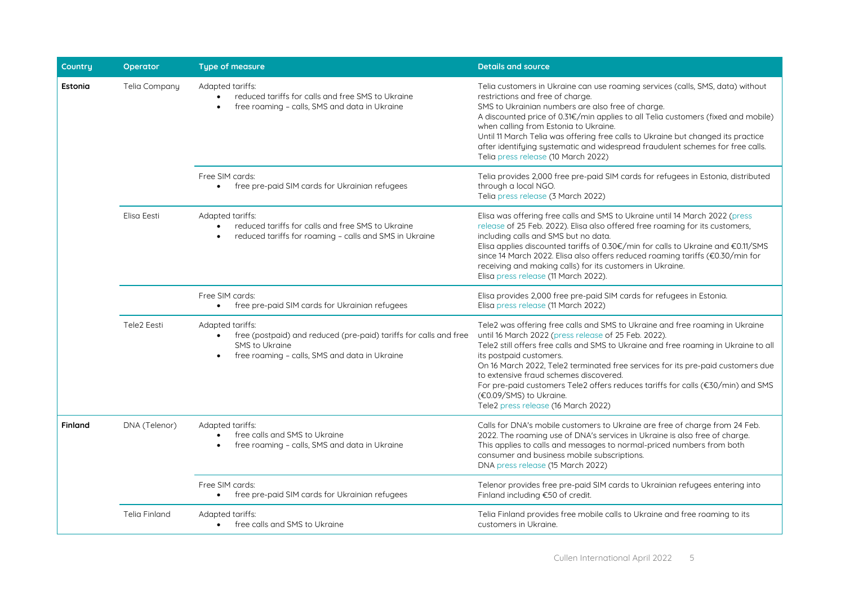| <b>Countru</b> | Operator             | <b>Type of measure</b>                                                                                                                                                | <b>Details and source</b>                                                                                                                                                                                                                                                                                                                                                                                                                                                                                                                |
|----------------|----------------------|-----------------------------------------------------------------------------------------------------------------------------------------------------------------------|------------------------------------------------------------------------------------------------------------------------------------------------------------------------------------------------------------------------------------------------------------------------------------------------------------------------------------------------------------------------------------------------------------------------------------------------------------------------------------------------------------------------------------------|
| <b>Estonia</b> | Telia Company        | Adapted tariffs:<br>reduced tariffs for calls and free SMS to Ukraine<br>free roaming - calls, SMS and data in Ukraine                                                | Telia customers in Ukraine can use roaming services (calls, SMS, data) without<br>restrictions and free of charge.<br>SMS to Ukrainian numbers are also free of charge.<br>A discounted price of 0.31€/min applies to all Telia customers (fixed and mobile)<br>when calling from Estonia to Ukraine.<br>Until 11 March Telia was offering free calls to Ukraine but changed its practice<br>after identifying systematic and widespread fraudulent schemes for free calls.<br>Telia press release (10 March 2022)                       |
|                |                      | Free SIM cards:<br>free pre-paid SIM cards for Ukrainian refugees                                                                                                     | Telia provides 2,000 free pre-paid SIM cards for refugees in Estonia, distributed<br>through a local NGO.<br>Telia press release (3 March 2022)                                                                                                                                                                                                                                                                                                                                                                                          |
|                | Elisa Eesti          | Adapted tariffs:<br>reduced tariffs for calls and free SMS to Ukraine<br>reduced tariffs for roaming - calls and SMS in Ukraine                                       | Elisa was offering free calls and SMS to Ukraine until 14 March 2022 (press<br>release of 25 Feb. 2022). Elisa also offered free roaming for its customers,<br>including calls and SMS but no data.<br>Elisa applies discounted tariffs of 0.30€/min for calls to Ukraine and €0.11/SMS<br>since 14 March 2022. Elisa also offers reduced roaming tariffs (€0.30/min for<br>receiving and making calls) for its customers in Ukraine.<br>Elisa press release (11 March 2022).                                                            |
|                |                      | Free SIM cards:<br>free pre-paid SIM cards for Ukrainian refugees<br>$\bullet$                                                                                        | Elisa provides 2,000 free pre-paid SIM cards for refugees in Estonia.<br>Elisa press release (11 March 2022)                                                                                                                                                                                                                                                                                                                                                                                                                             |
|                | Tele2 Eesti          | Adapted tariffs:<br>free (postpaid) and reduced (pre-paid) tariffs for calls and free<br>$\bullet$<br>SMS to Ukraine<br>free roaming - calls, SMS and data in Ukraine | Tele2 was offering free calls and SMS to Ukraine and free roaming in Ukraine<br>until 16 March 2022 (press release of 25 Feb. 2022).<br>Tele2 still offers free calls and SMS to Ukraine and free roaming in Ukraine to all<br>its postpaid customers.<br>On 16 March 2022, Tele2 terminated free services for its pre-paid customers due<br>to extensive fraud schemes discovered.<br>For pre-paid customers Tele2 offers reduces tariffs for calls (€30/min) and SMS<br>(€0.09/SMS) to Ukraine.<br>Tele2 press release (16 March 2022) |
| Finland        | DNA (Telenor)        | Adapted tariffs:<br>free calls and SMS to Ukraine<br>$\bullet$<br>free roaming - calls, SMS and data in Ukraine                                                       | Calls for DNA's mobile customers to Ukraine are free of charge from 24 Feb.<br>2022. The roaming use of DNA's services in Ukraine is also free of charge.<br>This applies to calls and messages to normal-priced numbers from both<br>consumer and business mobile subscriptions.<br>DNA press release (15 March 2022)                                                                                                                                                                                                                   |
|                |                      | Free SIM cards:<br>free pre-paid SIM cards for Ukrainian refugees<br>$\bullet$                                                                                        | Telenor provides free pre-paid SIM cards to Ukrainian refugees entering into<br>Finland including €50 of credit.                                                                                                                                                                                                                                                                                                                                                                                                                         |
|                | <b>Telia Finland</b> | Adapted tariffs:<br>free calls and SMS to Ukraine<br>$\bullet$                                                                                                        | Telia Finland provides free mobile calls to Ukraine and free roaming to its<br>customers in Ukraine.                                                                                                                                                                                                                                                                                                                                                                                                                                     |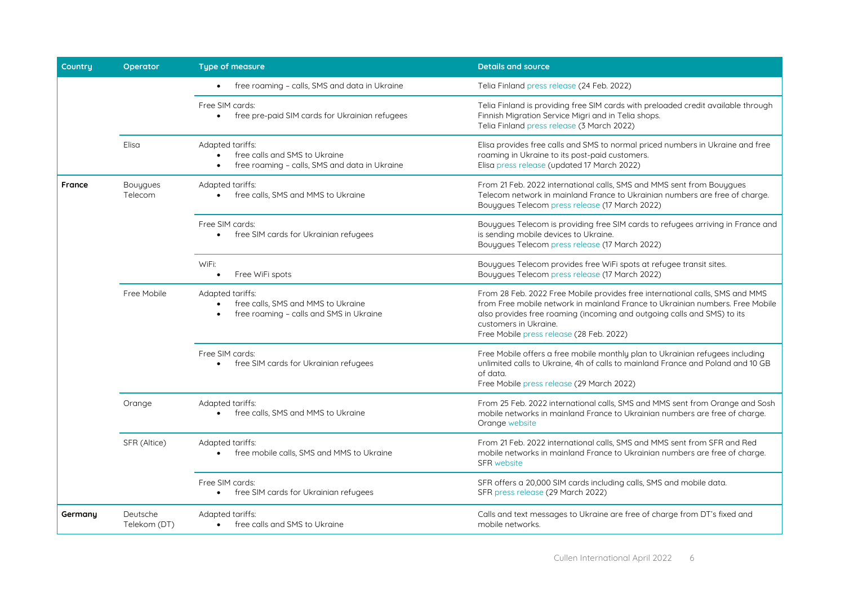| Country | Operator                   | <b>Type of measure</b>                                                                             | <b>Details and source</b>                                                                                                                                                                                                                                                                                     |
|---------|----------------------------|----------------------------------------------------------------------------------------------------|---------------------------------------------------------------------------------------------------------------------------------------------------------------------------------------------------------------------------------------------------------------------------------------------------------------|
|         |                            | free roaming - calls, SMS and data in Ukraine                                                      | Telia Finland press release (24 Feb. 2022)                                                                                                                                                                                                                                                                    |
|         |                            | Free SIM cards:<br>free pre-paid SIM cards for Ukrainian refugees<br>$\bullet$                     | Telia Finland is providing free SIM cards with preloaded credit available through<br>Finnish Migration Service Migri and in Telia shops.<br>Telia Finland press release (3 March 2022)                                                                                                                        |
|         | Elisa                      | Adapted tariffs:<br>free calls and SMS to Ukraine<br>free roaming - calls, SMS and data in Ukraine | Elisa provides free calls and SMS to normal priced numbers in Ukraine and free<br>roaming in Ukraine to its post-paid customers.<br>Elisa press release (updated 17 March 2022)                                                                                                                               |
| France  | <b>Bouygues</b><br>Telecom | Adapted tariffs:<br>free calls, SMS and MMS to Ukraine<br>$\bullet$                                | From 21 Feb. 2022 international calls, SMS and MMS sent from Bouygues<br>Telecom network in mainland France to Ukrainian numbers are free of charge.<br>Bouygues Telecom press release (17 March 2022)                                                                                                        |
|         |                            | Free SIM cards:<br>free SIM cards for Ukrainian refugees<br>$\bullet$                              | Bouygues Telecom is providing free SIM cards to refugees arriving in France and<br>is sending mobile devices to Ukraine.<br>Bouygues Telecom press release (17 March 2022)                                                                                                                                    |
|         |                            | WiFi:<br>Free WiFi spots<br>$\bullet$                                                              | Bouygues Telecom provides free WiFi spots at refugee transit sites.<br>Bouygues Telecom press release (17 March 2022)                                                                                                                                                                                         |
|         | Free Mobile                | Adapted tariffs:<br>free calls. SMS and MMS to Ukraine<br>free roaming - calls and SMS in Ukraine  | From 28 Feb. 2022 Free Mobile provides free international calls, SMS and MMS<br>from Free mobile network in mainland France to Ukrainian numbers. Free Mobile<br>also provides free roaming (incoming and outgoing calls and SMS) to its<br>customers in Ukraine.<br>Free Mobile press release (28 Feb. 2022) |
|         |                            | Free SIM cards:<br>free SIM cards for Ukrainian refugees                                           | Free Mobile offers a free mobile monthly plan to Ukrainian refugees including<br>unlimited calls to Ukraine, 4h of calls to mainland France and Poland and 10 GB<br>of data.<br>Free Mobile press release (29 March 2022)                                                                                     |
|         | Orange                     | Adapted tariffs:<br>free calls, SMS and MMS to Ukraine                                             | From 25 Feb. 2022 international calls, SMS and MMS sent from Orange and Sosh<br>mobile networks in mainland France to Ukrainian numbers are free of charge.<br>Orange website                                                                                                                                 |
|         | SFR (Altice)               | Adapted tariffs:<br>free mobile calls, SMS and MMS to Ukraine                                      | From 21 Feb. 2022 international calls, SMS and MMS sent from SFR and Red<br>mobile networks in mainland France to Ukrainian numbers are free of charge.<br><b>SFR</b> website                                                                                                                                 |
|         |                            | Free SIM cards:<br>free SIM cards for Ukrainian refugees                                           | SFR offers a 20,000 SIM cards including calls, SMS and mobile data.<br>SFR press release (29 March 2022)                                                                                                                                                                                                      |
| Germany | Deutsche<br>Telekom (DT)   | Adapted tariffs:<br>free calls and SMS to Ukraine                                                  | Calls and text messages to Ukraine are free of charge from DT's fixed and<br>mobile networks.                                                                                                                                                                                                                 |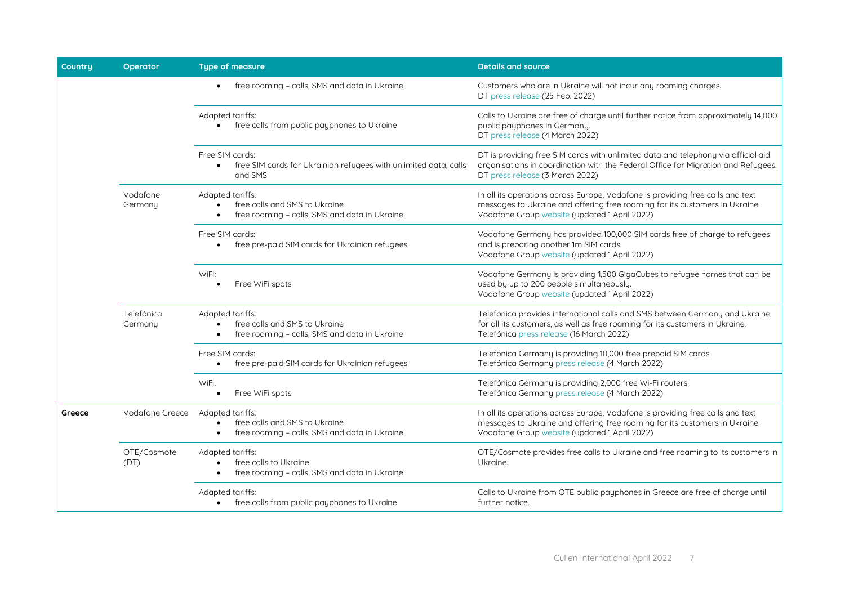| Country | <b>Operator</b>       | <b>Type of measure</b>                                                                                          | <b>Details and source</b>                                                                                                                                                                                      |
|---------|-----------------------|-----------------------------------------------------------------------------------------------------------------|----------------------------------------------------------------------------------------------------------------------------------------------------------------------------------------------------------------|
|         |                       | free roaming - calls, SMS and data in Ukraine                                                                   | Customers who are in Ukraine will not incur any roaming charges.<br>DT press release (25 Feb. 2022)                                                                                                            |
|         |                       | Adapted tariffs:<br>free calls from public payphones to Ukraine                                                 | Calls to Ukraine are free of charge until further notice from approximately 14,000<br>public payphones in Germany.<br>DT press release (4 March 2022)                                                          |
|         |                       | Free SIM cards:<br>free SIM cards for Ukrainian refugees with unlimited data, calls<br>$\bullet$<br>and SMS     | DT is providing free SIM cards with unlimited data and telephony via official aid<br>organisations in coordination with the Federal Office for Migration and Refugees.<br>DT press release (3 March 2022)      |
|         | Vodafone<br>Germany   | Adapted tariffs:<br>free calls and SMS to Ukraine<br>free roaming - calls, SMS and data in Ukraine              | In all its operations across Europe, Vodafone is providing free calls and text<br>messages to Ukraine and offering free roaming for its customers in Ukraine.<br>Vodafone Group website (updated 1 April 2022) |
|         |                       | Free SIM cards:<br>free pre-paid SIM cards for Ukrainian refugees                                               | Vodafone Germany has provided 100,000 SIM cards free of charge to refugees<br>and is preparing another 1m SIM cards.<br>Vodafone Group website (updated 1 April 2022)                                          |
|         |                       | WiFi:<br>Free WiFi spots                                                                                        | Vodafone Germany is providing 1,500 GigaCubes to refugee homes that can be<br>used by up to 200 people simultaneously.<br>Vodafone Group website (updated 1 April 2022)                                        |
|         | Telefónica<br>Germany | Adapted tariffs:<br>free calls and SMS to Ukraine<br>$\bullet$<br>free roaming - calls, SMS and data in Ukraine | Telefónica provides international calls and SMS between Germany and Ukraine<br>for all its customers, as well as free roaming for its customers in Ukraine.<br>Telefónica press release (16 March 2022)        |
|         |                       | Free SIM cards:<br>free pre-paid SIM cards for Ukrainian refugees                                               | Telefónica Germany is providing 10,000 free prepaid SIM cards<br>Telefónica Germany press release (4 March 2022)                                                                                               |
|         |                       | WiFi:<br>Free WiFi spots                                                                                        | Telefónica Germany is providing 2,000 free Wi-Fi routers.<br>Telefónica Germany press release (4 March 2022)                                                                                                   |
| Greece  | Vodafone Greece       | Adapted tariffs:<br>free calls and SMS to Ukraine<br>free roaming - calls, SMS and data in Ukraine<br>$\bullet$ | In all its operations across Europe, Vodafone is providing free calls and text<br>messages to Ukraine and offering free roaming for its customers in Ukraine.<br>Vodafone Group website (updated 1 April 2022) |
|         | OTE/Cosmote<br>(DT)   | Adapted tariffs:<br>free calls to Ukraine<br>free roaming - calls, SMS and data in Ukraine                      | OTE/Cosmote provides free calls to Ukraine and free roaming to its customers in<br>Ukraine.                                                                                                                    |
|         |                       | Adapted tariffs:<br>free calls from public payphones to Ukraine                                                 | Calls to Ukraine from OTE public payphones in Greece are free of charge until<br>further notice.                                                                                                               |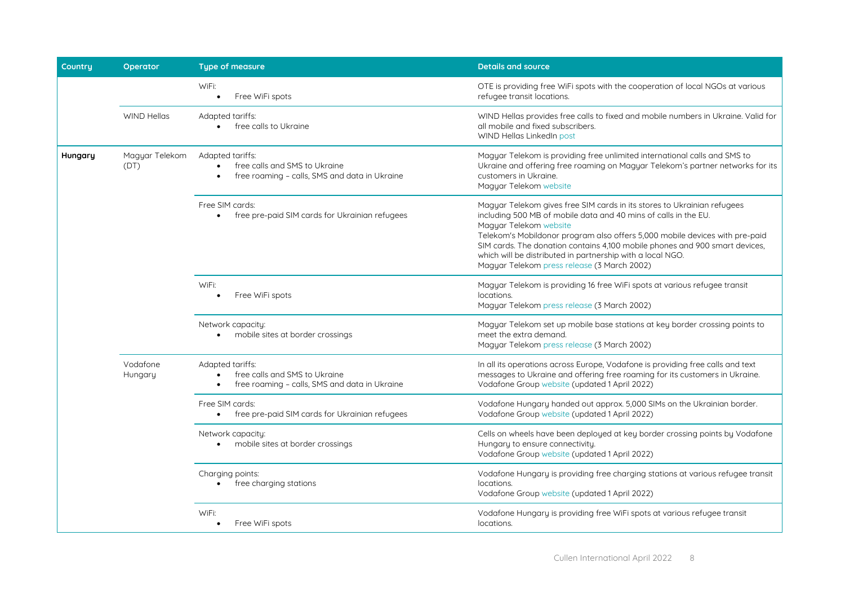| Country | Operator               | <b>Type of measure</b>                                                                                          | <b>Details and source</b>                                                                                                                                                                                                                                                                                                                                                                                                                       |
|---------|------------------------|-----------------------------------------------------------------------------------------------------------------|-------------------------------------------------------------------------------------------------------------------------------------------------------------------------------------------------------------------------------------------------------------------------------------------------------------------------------------------------------------------------------------------------------------------------------------------------|
|         |                        | WiFi:<br>Free WiFi spots                                                                                        | OTE is providing free WiFi spots with the cooperation of local NGOs at various<br>refugee transit locations.                                                                                                                                                                                                                                                                                                                                    |
|         | WIND Hellas            | Adapted tariffs:<br>free calls to Ukraine                                                                       | WIND Hellas provides free calls to fixed and mobile numbers in Ukraine. Valid for<br>all mobile and fixed subscribers.<br>WIND Hellas LinkedIn post                                                                                                                                                                                                                                                                                             |
| Hungary | Magyar Telekom<br>(DT) | Adapted tariffs:<br>free calls and SMS to Ukraine<br>free roaming - calls, SMS and data in Ukraine              | Magyar Telekom is providing free unlimited international calls and SMS to<br>Ukraine and offering free roaming on Magyar Telekom's partner networks for its<br>customers in Ukraine.<br>Magyar Telekom website                                                                                                                                                                                                                                  |
|         |                        | Free SIM cards:<br>free pre-paid SIM cards for Ukrainian refugees                                               | Magyar Telekom gives free SIM cards in its stores to Ukrainian refugees<br>including 500 MB of mobile data and 40 mins of calls in the EU.<br>Magyar Telekom website<br>Telekom's Mobildonor program also offers 5,000 mobile devices with pre-paid<br>SIM cards. The donation contains 4,100 mobile phones and 900 smart devices,<br>which will be distributed in partnership with a local NGO.<br>Magyar Telekom press release (3 March 2002) |
|         |                        | WiFi:<br>Free WiFi spots                                                                                        | Magyar Telekom is providing 16 free WiFi spots at various refugee transit<br>locations.<br>Magyar Telekom press release (3 March 2002)                                                                                                                                                                                                                                                                                                          |
|         |                        | Network capacity:<br>mobile sites at border crossings                                                           | Magyar Telekom set up mobile base stations at key border crossing points to<br>meet the extra demand.<br>Magyar Telekom press release (3 March 2002)                                                                                                                                                                                                                                                                                            |
|         | Vodafone<br>Hungary    | Adapted tariffs:<br>free calls and SMS to Ukraine<br>free roaming - calls, SMS and data in Ukraine<br>$\bullet$ | In all its operations across Europe, Vodafone is providing free calls and text<br>messages to Ukraine and offering free roaming for its customers in Ukraine.<br>Vodafone Group website (updated 1 April 2022)                                                                                                                                                                                                                                  |
|         |                        | Free SIM cards:<br>free pre-paid SIM cards for Ukrainian refugees                                               | Vodafone Hungary handed out approx. 5,000 SIMs on the Ukrainian border.<br>Vodafone Group website (updated 1 April 2022)                                                                                                                                                                                                                                                                                                                        |
|         |                        | Network capacity:<br>mobile sites at border crossings<br>$\bullet$                                              | Cells on wheels have been deployed at key border crossing points by Vodafone<br>Hungary to ensure connectivity.<br>Vodafone Group website (updated 1 April 2022)                                                                                                                                                                                                                                                                                |
|         |                        | Charging points:<br>free charging stations                                                                      | Vodafone Hungary is providing free charging stations at various refugee transit<br>locations.<br>Vodafone Group website (updated 1 April 2022)                                                                                                                                                                                                                                                                                                  |
|         |                        | WiFi:<br>Free WiFi spots                                                                                        | Vodafone Hungary is providing free WiFi spots at various refugee transit<br>locations.                                                                                                                                                                                                                                                                                                                                                          |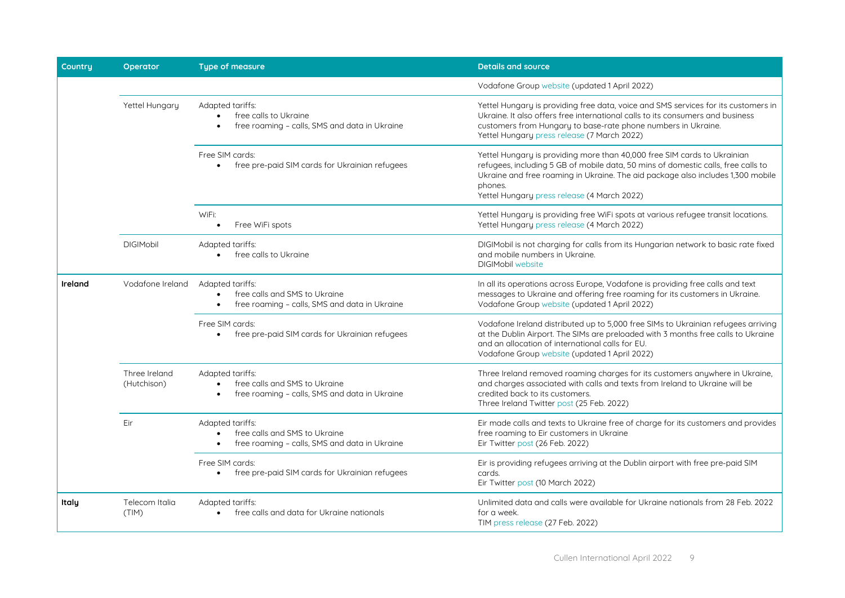| Countru | <b>Operator</b>              | <b>Type of measure</b>                                                                                  | <b>Details and source</b>                                                                                                                                                                                                                                                                                  |
|---------|------------------------------|---------------------------------------------------------------------------------------------------------|------------------------------------------------------------------------------------------------------------------------------------------------------------------------------------------------------------------------------------------------------------------------------------------------------------|
|         |                              |                                                                                                         | Vodafone Group website (updated 1 April 2022)                                                                                                                                                                                                                                                              |
|         | Yettel Hungary               | Adapted tariffs:<br>free calls to Ukraine<br>free roaming - calls, SMS and data in Ukraine<br>$\bullet$ | Yettel Hungary is providing free data, voice and SMS services for its customers in<br>Ukraine. It also offers free international calls to its consumers and business<br>customers from Hungary to base-rate phone numbers in Ukraine.<br>Yettel Hungary press release (7 March 2022)                       |
|         |                              | Free SIM cards:<br>• free pre-paid SIM cards for Ukrainian refugees                                     | Yettel Hungary is providing more than 40,000 free SIM cards to Ukrainian<br>refugees, including 5 GB of mobile data, 50 mins of domestic calls, free calls to<br>Ukraine and free roaming in Ukraine. The aid package also includes 1,300 mobile<br>phones.<br>Yettel Hungary press release (4 March 2022) |
|         |                              | WiFi:<br>Free WiFi spots                                                                                | Yettel Hungary is providing free WiFi spots at various refugee transit locations.<br>Yettel Hungary press release (4 March 2022)                                                                                                                                                                           |
|         | <b>DIGIMobil</b>             | Adapted tariffs:<br>free calls to Ukraine                                                               | DIGIMobil is not charging for calls from its Hungarian network to basic rate fixed<br>and mobile numbers in Ukraine.<br><b>DIGIMobil website</b>                                                                                                                                                           |
| Ireland | Vodafone Ireland             | Adapted tariffs:<br>free calls and SMS to Ukraine<br>free roaming - calls, SMS and data in Ukraine      | In all its operations across Europe, Vodafone is providing free calls and text<br>messages to Ukraine and offering free roaming for its customers in Ukraine.<br>Vodafone Group website (updated 1 April 2022)                                                                                             |
|         |                              | Free SIM cards:<br>free pre-paid SIM cards for Ukrainian refugees<br>$\bullet$                          | Vodafone Ireland distributed up to 5,000 free SIMs to Ukrainian refugees arriving<br>at the Dublin Airport. The SIMs are preloaded with 3 months free calls to Ukraine<br>and an allocation of international calls for EU.<br>Vodafone Group website (updated 1 April 2022)                                |
|         | Three Ireland<br>(Hutchison) | Adapted tariffs:<br>free calls and SMS to Ukraine<br>free roaming - calls, SMS and data in Ukraine      | Three Ireland removed roaming charges for its customers anywhere in Ukraine,<br>and charges associated with calls and texts from Ireland to Ukraine will be<br>credited back to its customers.<br>Three Ireland Twitter post (25 Feb. 2022)                                                                |
|         | Eir                          | Adapted tariffs:<br>free calls and SMS to Ukraine<br>free roaming - calls, SMS and data in Ukraine      | Eir made calls and texts to Ukraine free of charge for its customers and provides<br>free roaming to Eir customers in Ukraine<br>Eir Twitter post (26 Feb. 2022)                                                                                                                                           |
|         |                              | Free SIM cards:<br>free pre-paid SIM cards for Ukrainian refugees<br>$\bullet$                          | Eir is providing refugees arriving at the Dublin airport with free pre-paid SIM<br>cards.<br>Eir Twitter post (10 March 2022)                                                                                                                                                                              |
| Italy   | Telecom Italia<br>(TIM)      | Adapted tariffs:<br>free calls and data for Ukraine nationals<br>$\bullet$                              | Unlimited data and calls were available for Ukraine nationals from 28 Feb. 2022<br>for a week.<br>TIM press release (27 Feb. 2022)                                                                                                                                                                         |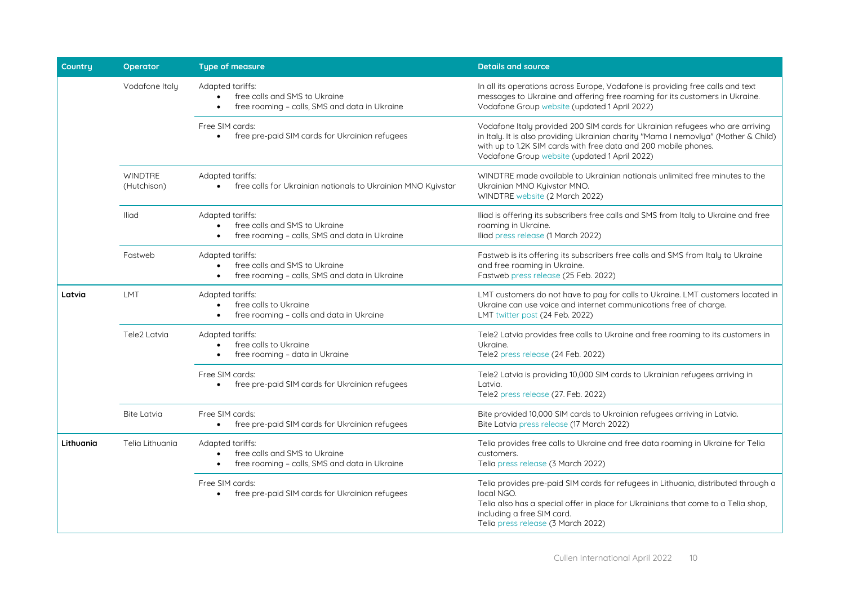| <b>Countru</b> | <b>Operator</b>               | <b>Type of measure</b>                                                                                                       | <b>Details and source</b>                                                                                                                                                                                                                                                                |
|----------------|-------------------------------|------------------------------------------------------------------------------------------------------------------------------|------------------------------------------------------------------------------------------------------------------------------------------------------------------------------------------------------------------------------------------------------------------------------------------|
|                | Vodafone Italy                | Adapted tariffs:<br>free calls and SMS to Ukraine<br>$\bullet$<br>free roaming - calls, SMS and data in Ukraine<br>$\bullet$ | In all its operations across Europe, Vodafone is providing free calls and text<br>messages to Ukraine and offering free roaming for its customers in Ukraine.<br>Vodafone Group website (updated 1 April 2022)                                                                           |
|                |                               | Free SIM cards:<br>free pre-paid SIM cards for Ukrainian refugees<br>$\bullet$                                               | Vodafone Italy provided 200 SIM cards for Ukrainian refugees who are arriving<br>in Italy. It is also providing Ukrainian charity "Mama I nemovlya" (Mother & Child)<br>with up to 1.2K SIM cards with free data and 200 mobile phones.<br>Vodafone Group website (updated 1 April 2022) |
|                | <b>WINDTRE</b><br>(Hutchison) | Adapted tariffs:<br>free calls for Ukrainian nationals to Ukrainian MNO Kyivstar                                             | WINDTRE made available to Ukrainian nationals unlimited free minutes to the<br>Ukrainian MNO Kyivstar MNO.<br>WINDTRE website (2 March 2022)                                                                                                                                             |
|                | <b>Iliad</b>                  | Adapted tariffs:<br>free calls and SMS to Ukraine<br>free roaming - calls, SMS and data in Ukraine                           | Iliad is offering its subscribers free calls and SMS from Italy to Ukraine and free<br>roaming in Ukraine.<br>Iliad press release (1 March 2022)                                                                                                                                         |
|                | Fastweb                       | Adapted tariffs:<br>free calls and SMS to Ukraine<br>free roaming - calls, SMS and data in Ukraine                           | Fastweb is its offering its subscribers free calls and SMS from Italy to Ukraine<br>and free roaming in Ukraine.<br>Fastweb press release (25 Feb. 2022)                                                                                                                                 |
| Latvia         | LMT                           | Adapted tariffs:<br>free calls to Ukraine<br>free roaming - calls and data in Ukraine                                        | LMT customers do not have to pay for calls to Ukraine. LMT customers located in<br>Ukraine can use voice and internet communications free of charge.<br>LMT twitter post (24 Feb. 2022)                                                                                                  |
|                | Tele2 Latvia                  | Adapted tariffs:<br>free calls to Ukraine<br>free roaming - data in Ukraine                                                  | Tele2 Latvia provides free calls to Ukraine and free roaming to its customers in<br>Ukraine.<br>Tele2 press release (24 Feb. 2022)                                                                                                                                                       |
|                |                               | Free SIM cards:<br>free pre-paid SIM cards for Ukrainian refugees<br>$\bullet$                                               | Tele2 Latvia is providing 10,000 SIM cards to Ukrainian refugees arriving in<br>Latvia.<br>Tele2 press release (27. Feb. 2022)                                                                                                                                                           |
|                | <b>Bite Latvia</b>            | Free SIM cards:<br>free pre-paid SIM cards for Ukrainian refugees<br>$\bullet$                                               | Bite provided 10,000 SIM cards to Ukrainian refugees arriving in Latvia.<br>Bite Latvia press release (17 March 2022)                                                                                                                                                                    |
| Lithuania      | Telia Lithuania               | Adapted tariffs:<br>free calls and SMS to Ukraine<br>free roaming - calls, SMS and data in Ukraine<br>$\bullet$              | Telia provides free calls to Ukraine and free data roaming in Ukraine for Telia<br>customers.<br>Telia press release (3 March 2022)                                                                                                                                                      |
|                |                               | Free SIM cards:<br>free pre-paid SIM cards for Ukrainian refugees                                                            | Telia provides pre-paid SIM cards for refugees in Lithuania, distributed through a<br>local NGO.<br>Telia also has a special offer in place for Ukrainians that come to a Telia shop,<br>including a free SIM card.<br>Telia press release (3 March 2022)                                |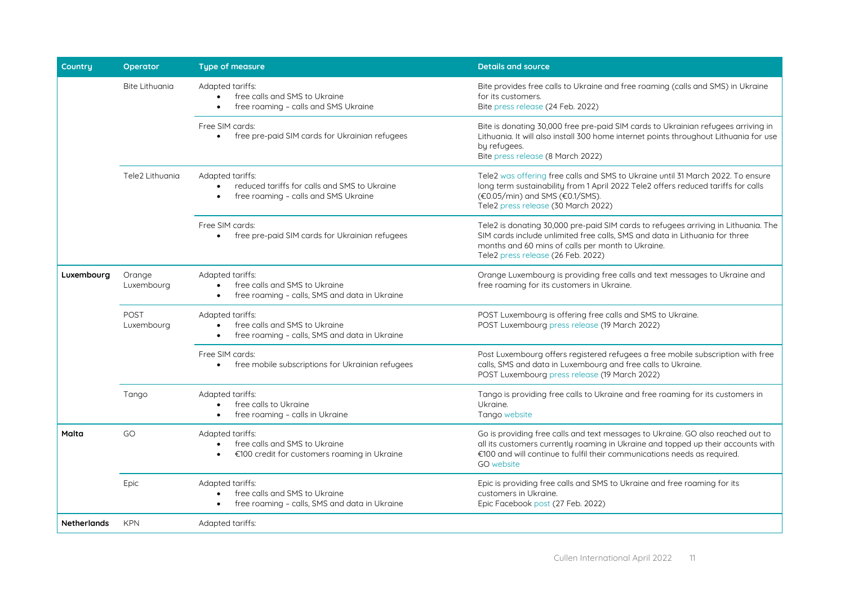| Countru            | <b>Operator</b>       | <b>Type of measure</b>                                                                                                       | <b>Details and source</b>                                                                                                                                                                                                                                            |
|--------------------|-----------------------|------------------------------------------------------------------------------------------------------------------------------|----------------------------------------------------------------------------------------------------------------------------------------------------------------------------------------------------------------------------------------------------------------------|
|                    | <b>Bite Lithuania</b> | Adapted tariffs:<br>free calls and SMS to Ukraine<br>free roaming - calls and SMS Ukraine<br>$\bullet$                       | Bite provides free calls to Ukraine and free roaming (calls and SMS) in Ukraine<br>for its customers.<br>Bite press release (24 Feb. 2022)                                                                                                                           |
|                    |                       | Free SIM cards:<br>free pre-paid SIM cards for Ukrainian refugees<br>$\bullet$                                               | Bite is donating 30,000 free pre-paid SIM cards to Ukrainian refugees arriving in<br>Lithuania. It will also install 300 home internet points throughout Lithuania for use<br>by refugees.<br>Bite press release (8 March 2022)                                      |
|                    | Tele2 Lithuania       | Adapted tariffs:<br>reduced tariffs for calls and SMS to Ukraine<br>free roaming - calls and SMS Ukraine<br>$\bullet$        | Tele2 was offering free calls and SMS to Ukraine until 31 March 2022. To ensure<br>long term sustainability from 1 April 2022 Tele2 offers reduced tariffs for calls<br>(€0.05/min) and SMS (€0.1/SMS).<br>Tele2 press release (30 March 2022)                       |
|                    |                       | Free SIM cards:<br>free pre-paid SIM cards for Ukrainian refugees                                                            | Tele2 is donating 30,000 pre-paid SIM cards to refugees arriving in Lithuania. The<br>SIM cards include unlimited free calls, SMS and data in Lithuania for three<br>months and 60 mins of calls per month to Ukraine.<br>Tele2 press release (26 Feb. 2022)         |
| Luxembourg         | Orange<br>Luxembourg  | Adapted tariffs:<br>free calls and SMS to Ukraine<br>$\bullet$<br>free roaming - calls, SMS and data in Ukraine<br>$\bullet$ | Orange Luxembourg is providing free calls and text messages to Ukraine and<br>free roaming for its customers in Ukraine.                                                                                                                                             |
|                    | POST<br>Luxembourg    | Adapted tariffs:<br>free calls and SMS to Ukraine<br>free roaming - calls, SMS and data in Ukraine<br>$\bullet$              | POST Luxembourg is offering free calls and SMS to Ukraine.<br>POST Luxembourg press release (19 March 2022)                                                                                                                                                          |
|                    |                       | Free SIM cards:<br>free mobile subscriptions for Ukrainian refugees                                                          | Post Luxembourg offers registered refugees a free mobile subscription with free<br>calls, SMS and data in Luxembourg and free calls to Ukraine.<br>POST Luxembourg press release (19 March 2022)                                                                     |
|                    | Tango                 | Adapted tariffs:<br>free calls to Ukraine<br>free roaming - calls in Ukraine                                                 | Tango is providing free calls to Ukraine and free roaming for its customers in<br>Ukraine.<br>Tango website                                                                                                                                                          |
| Malta              | GO                    | Adapted tariffs:<br>free calls and SMS to Ukraine<br>€100 credit for customers roaming in Ukraine<br>$\bullet$               | Go is providing free calls and text messages to Ukraine. GO also reached out to<br>all its customers currently roaming in Ukraine and topped up their accounts with<br>€100 and will continue to fulfil their communications needs as required.<br><b>GO</b> website |
|                    | Epic                  | Adapted tariffs:<br>free calls and SMS to Ukraine<br>free roaming - calls, SMS and data in Ukraine                           | Epic is providing free calls and SMS to Ukraine and free roaming for its<br>customers in Ukraine.<br>Epic Facebook post (27 Feb. 2022)                                                                                                                               |
| <b>Netherlands</b> | <b>KPN</b>            | Adapted tariffs:                                                                                                             |                                                                                                                                                                                                                                                                      |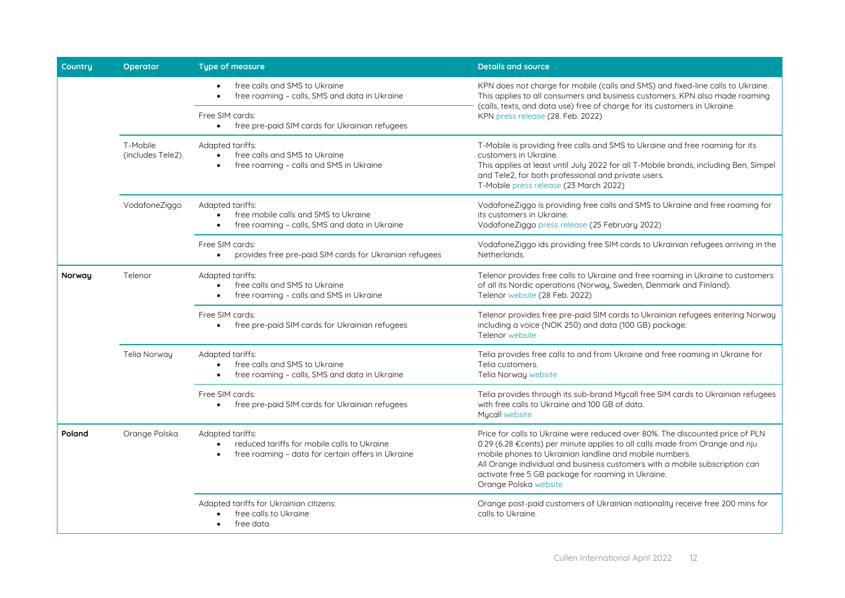| Countru | Operator                     | <b>Type of measure</b>                                                                                               | <b>Details and source</b>                                                                                                                                                                                                                                                                                                                                                             |
|---------|------------------------------|----------------------------------------------------------------------------------------------------------------------|---------------------------------------------------------------------------------------------------------------------------------------------------------------------------------------------------------------------------------------------------------------------------------------------------------------------------------------------------------------------------------------|
|         |                              | free calls and SMS to Ukraine<br>free roaming - calls, SMS and data in Ukraine                                       | KPN does not charge for mobile (calls and SMS) and fixed-line calls to Ukraine.<br>This applies to all consumers and business customers. KPN also made roaming<br>(calls, texts, and data use) free of charge for its customers in Ukraine.                                                                                                                                           |
|         |                              | Free SIM cards:<br>free pre-paid SIM cards for Ukrainian refugees<br>$\bullet$                                       | KPN press release (28. Feb. 2022)                                                                                                                                                                                                                                                                                                                                                     |
|         | T-Mobile<br>(includes Tele2) | Adapted tariffs:<br>free calls and SMS to Ukraine<br>free roaming - calls and SMS in Ukraine                         | T-Mobile is providing free calls and SMS to Ukraine and free roaming for its<br>customers in Ukraine.<br>This applies at least until July 2022 for all T-Mobile brands, including Ben, Simpel<br>and Tele2, for both professional and private users.<br>T-Mobile press release (23 March 2022)                                                                                        |
|         | VodafoneZiggo                | Adapted tariffs:<br>free mobile calls and SMS to Ukraine<br>free roaming - calls, SMS and data in Ukraine            | VodafoneZiggo is providing free calls and SMS to Ukraine and free roaming for<br>its customers in Ukraine.<br>VodafoneZiggo press release (25 February 2022)                                                                                                                                                                                                                          |
|         |                              | Free SIM cards:<br>provides free pre-paid SIM cards for Ukrainian refugees                                           | VodafoneZiggo ids providing free SIM cards to Ukrainian refugees arriving in the<br>Netherlands.                                                                                                                                                                                                                                                                                      |
| Norway  | Telenor                      | Adapted tariffs:<br>free calls and SMS to Ukraine<br>free roaming - calls and SMS in Ukraine                         | Telenor provides free calls to Ukraine and free roaming in Ukraine to customers<br>of all its Nordic operations (Norway, Sweden, Denmark and Finland).<br>Telenor website (28 Feb. 2022)                                                                                                                                                                                              |
|         |                              | Free SIM cards:<br>free pre-paid SIM cards for Ukrainian refugees<br>$\bullet$                                       | Telenor provides free pre-paid SIM cards to Ukrainian refugees entering Norway<br>including a voice (NOK 250) and data (100 GB) package.<br>Telenor website                                                                                                                                                                                                                           |
|         | Telia Norway                 | Adapted tariffs:<br>free calls and SMS to Ukraine<br>free roaming - calls, SMS and data in Ukraine<br>$\bullet$      | Telia provides free calls to and from Ukraine and free roaming in Ukraine for<br>Telia customers.<br>Telia Norway website                                                                                                                                                                                                                                                             |
|         |                              | Free SIM cards:<br>free pre-paid SIM cards for Ukrainian refugees                                                    | Telia provides through its sub-brand Mycall free SIM cards to Ukrainian refugees<br>with free calls to Ukraine and 100 GB of data.<br>Mycall website                                                                                                                                                                                                                                  |
| Poland  | Orange Polska                | Adapted tariffs:<br>reduced tariffs for mobile calls to Ukraine<br>free roaming - data for certain offers in Ukraine | Price for calls to Ukraine were reduced over 80%. The discounted price of PLN<br>0.29 (6.28 €cents) per minute applies to all calls made from Orange and nju<br>mobile phones to Ukrainian landline and mobile numbers.<br>All Orange individual and business customers with a mobile subscription can<br>activate free 5 GB package for roaming in Ukraine.<br>Orange Polska website |
|         |                              | Adapted tariffs for Ukrainian citizens:<br>free calls to Ukraine<br>free data                                        | Orange post-paid customers of Ukrainian nationality receive free 200 mins for<br>calls to Ukraine.                                                                                                                                                                                                                                                                                    |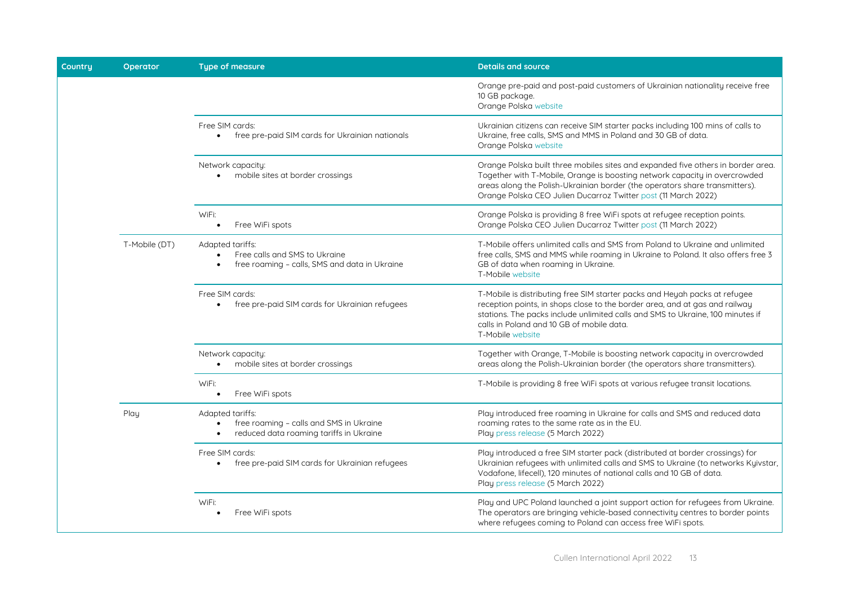| Countru | Operator      | <b>Type of measure</b>                                                                                                           | <b>Details and source</b>                                                                                                                                                                                                                                                                                       |
|---------|---------------|----------------------------------------------------------------------------------------------------------------------------------|-----------------------------------------------------------------------------------------------------------------------------------------------------------------------------------------------------------------------------------------------------------------------------------------------------------------|
|         |               |                                                                                                                                  | Orange pre-paid and post-paid customers of Ukrainian nationality receive free<br>10 GB package.<br>Orange Polska website                                                                                                                                                                                        |
|         |               | Free SIM cards:<br>free pre-paid SIM cards for Ukrainian nationals<br>$\bullet$                                                  | Ukrainian citizens can receive SIM starter packs including 100 mins of calls to<br>Ukraine, free calls, SMS and MMS in Poland and 30 GB of data.<br>Orange Polska website                                                                                                                                       |
|         |               | Network capacity:<br>mobile sites at border crossings                                                                            | Orange Polska built three mobiles sites and expanded five others in border area.<br>Together with T-Mobile, Orange is boosting network capacity in overcrowded<br>areas along the Polish-Ukrainian border (the operators share transmitters).<br>Orange Polska CEO Julien Ducarroz Twitter post (11 March 2022) |
|         |               | WiFi:<br>Free WiFi spots<br>$\bullet$                                                                                            | Orange Polska is providing 8 free WiFi spots at refugee reception points.<br>Orange Polska CEO Julien Ducarroz Twitter post (11 March 2022)                                                                                                                                                                     |
|         | T-Mobile (DT) | Adapted tariffs:<br>Free calls and SMS to Ukraine<br>$\bullet$<br>free roaming - calls, SMS and data in Ukraine<br>$\bullet$     | T-Mobile offers unlimited calls and SMS from Poland to Ukraine and unlimited<br>free calls, SMS and MMS while roaming in Ukraine to Poland. It also offers free 3<br>GB of data when roaming in Ukraine.<br>T-Mobile website                                                                                    |
|         |               | Free SIM cards:<br>free pre-paid SIM cards for Ukrainian refugees<br>$\bullet$                                                   | T-Mobile is distributing free SIM starter packs and Heyah packs at refugee<br>reception points, in shops close to the border area, and at gas and railway<br>stations. The packs include unlimited calls and SMS to Ukraine, 100 minutes if<br>calls in Poland and 10 GB of mobile data.<br>T-Mobile website    |
|         |               | Network capacity:<br>mobile sites at border crossings<br>$\bullet$                                                               | Together with Orange, T-Mobile is boosting network capacity in overcrowded<br>areas along the Polish-Ukrainian border (the operators share transmitters).                                                                                                                                                       |
|         |               | WiFi:<br>Free WiFi spots<br>$\bullet$                                                                                            | T-Mobile is providing 8 free WiFi spots at various refugee transit locations.                                                                                                                                                                                                                                   |
|         | Play          | Adapted tariffs:<br>free roaming - calls and SMS in Ukraine<br>$\bullet$<br>reduced data roaming tariffs in Ukraine<br>$\bullet$ | Play introduced free roaming in Ukraine for calls and SMS and reduced data<br>roaming rates to the same rate as in the EU.<br>Play press release (5 March 2022)                                                                                                                                                 |
|         |               | Free SIM cards:<br>free pre-paid SIM cards for Ukrainian refugees<br>$\bullet$                                                   | Play introduced a free SIM starter pack (distributed at border crossings) for<br>Ukrainian refugees with unlimited calls and SMS to Ukraine (to networks Kyivstar,<br>Vodafone, lifecell), 120 minutes of national calls and 10 GB of data.<br>Play press release (5 March 2022)                                |
|         |               | WiFi:<br>Free WiFi spots                                                                                                         | Play and UPC Poland launched a joint support action for refugees from Ukraine.<br>The operators are bringing vehicle-based connectivity centres to border points<br>where refugees coming to Poland can access free WiFi spots.                                                                                 |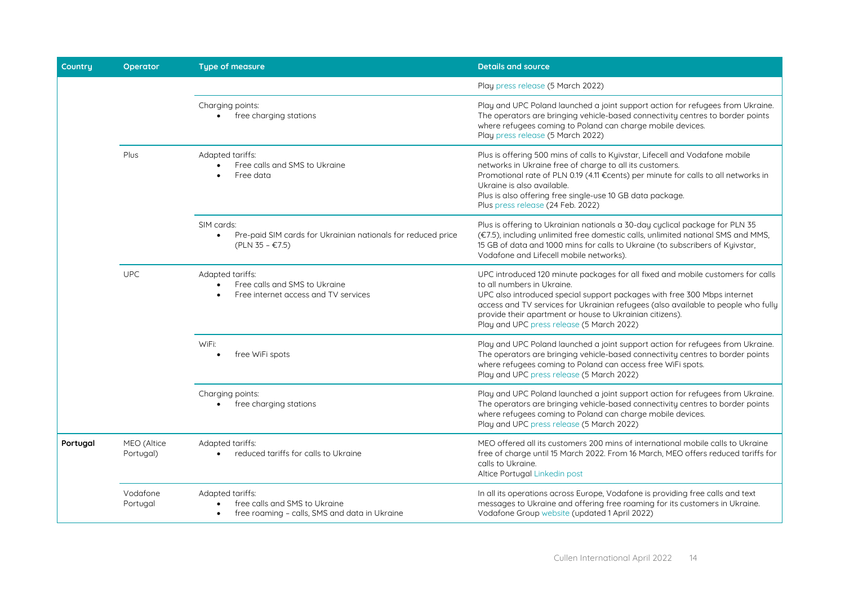| Country  | Operator                 | <b>Type of measure</b>                                                                                       | <b>Details and source</b>                                                                                                                                                                                                                                                                                                                                                               |
|----------|--------------------------|--------------------------------------------------------------------------------------------------------------|-----------------------------------------------------------------------------------------------------------------------------------------------------------------------------------------------------------------------------------------------------------------------------------------------------------------------------------------------------------------------------------------|
|          |                          |                                                                                                              | Play press release (5 March 2022)                                                                                                                                                                                                                                                                                                                                                       |
|          |                          | Charging points:<br>• free charging stations                                                                 | Play and UPC Poland launched a joint support action for refugees from Ukraine.<br>The operators are bringing vehicle-based connectivity centres to border points<br>where refugees coming to Poland can charge mobile devices.<br>Play press release (5 March 2022)                                                                                                                     |
|          | Plus                     | Adapted tariffs:<br>Free calls and SMS to Ukraine<br>Free data                                               | Plus is offering 500 mins of calls to Kyivstar, Lifecell and Vodafone mobile<br>networks in Ukraine free of charge to all its customers.<br>Promotional rate of PLN 0.19 (4.11 €cents) per minute for calls to all networks in<br>Ukraine is also available.<br>Plus is also offering free single-use 10 GB data package.<br>Plus press release (24 Feb. 2022)                          |
|          |                          | SIM cards:<br>Pre-paid SIM cards for Ukrainian nationals for reduced price<br>$\bullet$<br>$(PLN 35 - €7.5)$ | Plus is offering to Ukrainian nationals a 30-day cyclical package for PLN 35<br>(€7.5), including unlimited free domestic calls, unlimited national SMS and MMS,<br>15 GB of data and 1000 mins for calls to Ukraine (to subscribers of Kyivstar,<br>Vodafone and Lifecell mobile networks).                                                                                            |
|          | <b>UPC</b>               | Adapted tariffs:<br>Free calls and SMS to Ukraine<br>Free internet access and TV services                    | UPC introduced 120 minute packages for all fixed and mobile customers for calls<br>to all numbers in Ukraine.<br>UPC also introduced special support packages with free 300 Mbps internet<br>access and TV services for Ukrainian refugees (also available to people who fully<br>provide their apartment or house to Ukrainian citizens).<br>Play and UPC press release (5 March 2022) |
|          |                          | WiFi:<br>free WiFi spots                                                                                     | Play and UPC Poland launched a joint support action for refugees from Ukraine.<br>The operators are bringing vehicle-based connectivity centres to border points<br>where refugees coming to Poland can access free WiFi spots.<br>Play and UPC press release (5 March 2022)                                                                                                            |
|          |                          | Charging points:<br>free charging stations                                                                   | Play and UPC Poland launched a joint support action for refugees from Ukraine.<br>The operators are bringing vehicle-based connectivity centres to border points<br>where refugees coming to Poland can charge mobile devices.<br>Play and UPC press release (5 March 2022)                                                                                                             |
| Portugal | MEO (Altice<br>Portugal) | Adapted tariffs:<br>reduced tariffs for calls to Ukraine                                                     | MEO offered all its customers 200 mins of international mobile calls to Ukraine<br>free of charge until 15 March 2022. From 16 March, MEO offers reduced tariffs for<br>calls to Ukraine.<br>Altice Portugal Linkedin post                                                                                                                                                              |
|          | Vodafone<br>Portugal     | Adapted tariffs:<br>free calls and SMS to Ukraine<br>free roaming - calls, SMS and data in Ukraine           | In all its operations across Europe, Vodafone is providing free calls and text<br>messages to Ukraine and offering free roaming for its customers in Ukraine.<br>Vodafone Group website (updated 1 April 2022)                                                                                                                                                                          |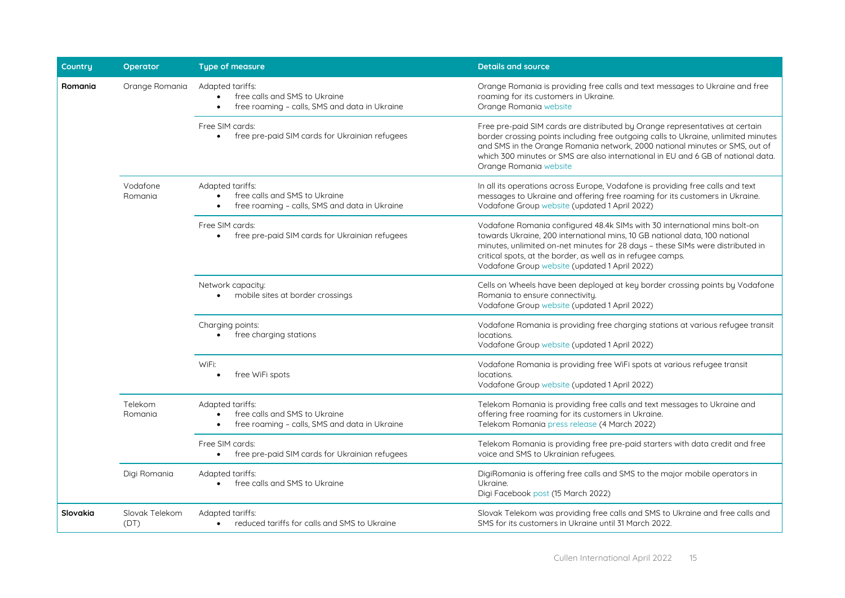| Country  | <b>Operator</b>        | <b>Type of measure</b>                                                                                                       | <b>Details and source</b>                                                                                                                                                                                                                                                                                                                                       |
|----------|------------------------|------------------------------------------------------------------------------------------------------------------------------|-----------------------------------------------------------------------------------------------------------------------------------------------------------------------------------------------------------------------------------------------------------------------------------------------------------------------------------------------------------------|
| Romania  | Orange Romania         | Adapted tariffs:<br>free calls and SMS to Ukraine<br>$\bullet$<br>free roaming - calls, SMS and data in Ukraine<br>$\bullet$ | Orange Romania is providing free calls and text messages to Ukraine and free<br>roaming for its customers in Ukraine.<br>Orange Romania website                                                                                                                                                                                                                 |
|          |                        | Free SIM cards:<br>free pre-paid SIM cards for Ukrainian refugees<br>$\bullet$                                               | Free pre-paid SIM cards are distributed by Orange representatives at certain<br>border crossing points including free outgoing calls to Ukraine, unlimited minutes<br>and SMS in the Orange Romania network, 2000 national minutes or SMS, out of<br>which 300 minutes or SMS are also international in EU and 6 GB of national data.<br>Orange Romania website |
|          | Vodafone<br>Romania    | Adapted tariffs:<br>free calls and SMS to Ukraine<br>$\bullet$<br>free roaming - calls, SMS and data in Ukraine<br>$\bullet$ | In all its operations across Europe, Vodafone is providing free calls and text<br>messages to Ukraine and offering free roaming for its customers in Ukraine.<br>Vodafone Group website (updated 1 April 2022)                                                                                                                                                  |
|          |                        | Free SIM cards:<br>free pre-paid SIM cards for Ukrainian refugees<br>$\bullet$                                               | Vodafone Romania configured 48.4k SIMs with 30 international mins bolt-on<br>towards Ukraine, 200 international mins, 10 GB national data, 100 national<br>minutes, unlimited on-net minutes for 28 days - these SIMs were distributed in<br>critical spots, at the border, as well as in refugee camps.<br>Vodafone Group website (updated 1 April 2022)       |
|          |                        | Network capacity:<br>mobile sites at border crossings<br>$\bullet$                                                           | Cells on Wheels have been deployed at key border crossing points by Vodafone<br>Romania to ensure connectivity.<br>Vodafone Group website (updated 1 April 2022)                                                                                                                                                                                                |
|          |                        | Charging points:<br>free charging stations<br>$\bullet$                                                                      | Vodafone Romania is providing free charging stations at various refugee transit<br>locations.<br>Vodafone Group website (updated 1 April 2022)                                                                                                                                                                                                                  |
|          |                        | WiFi:<br>free WiFi spots                                                                                                     | Vodafone Romania is providing free WiFi spots at various refugee transit<br>locations.<br>Vodafone Group website (updated 1 April 2022)                                                                                                                                                                                                                         |
|          | Telekom<br>Romania     | Adapted tariffs:<br>free calls and SMS to Ukraine<br>$\bullet$<br>free roaming - calls, SMS and data in Ukraine              | Telekom Romania is providing free calls and text messages to Ukraine and<br>offering free roaming for its customers in Ukraine.<br>Telekom Romania press release (4 March 2022)                                                                                                                                                                                 |
|          |                        | Free SIM cards:<br>free pre-paid SIM cards for Ukrainian refugees<br>$\bullet$                                               | Telekom Romania is providing free pre-paid starters with data credit and free<br>voice and SMS to Ukrainian refugees.                                                                                                                                                                                                                                           |
|          | Digi Romania           | Adapted tariffs:<br>free calls and SMS to Ukraine<br>$\bullet$                                                               | DigiRomania is offering free calls and SMS to the major mobile operators in<br>Ukraine.<br>Digi Facebook post (15 March 2022)                                                                                                                                                                                                                                   |
| Slovakia | Slovak Telekom<br>(DT) | Adapted tariffs:<br>reduced tariffs for calls and SMS to Ukraine<br>$\bullet$                                                | Slovak Telekom was providing free calls and SMS to Ukraine and free calls and<br>SMS for its customers in Ukraine until 31 March 2022.                                                                                                                                                                                                                          |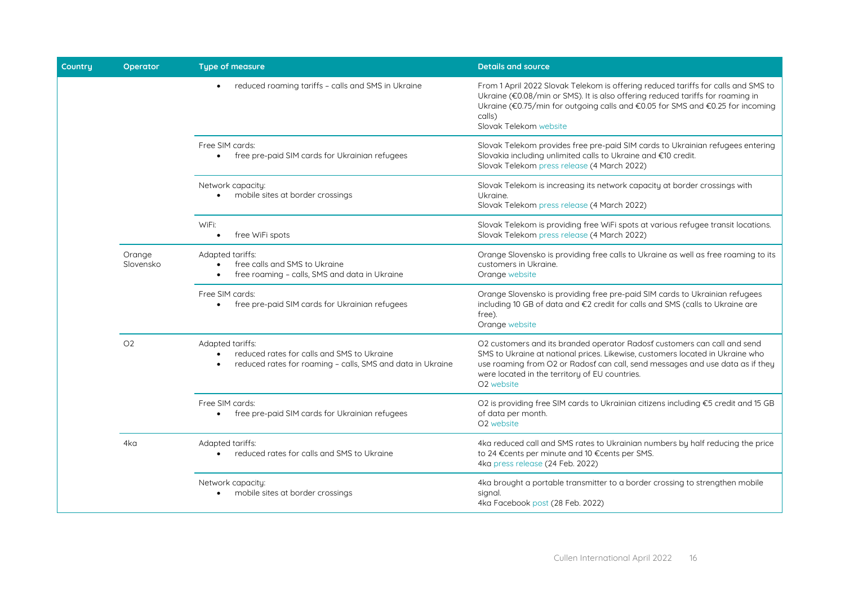| Country | Operator            | <b>Type of measure</b>                                                                                                                                 | <b>Details and source</b>                                                                                                                                                                                                                                                                                              |
|---------|---------------------|--------------------------------------------------------------------------------------------------------------------------------------------------------|------------------------------------------------------------------------------------------------------------------------------------------------------------------------------------------------------------------------------------------------------------------------------------------------------------------------|
|         |                     | reduced roaming tariffs - calls and SMS in Ukraine                                                                                                     | From 1 April 2022 Slovak Telekom is offering reduced tariffs for calls and SMS to<br>Ukraine (€0.08/min or SMS). It is also offering reduced tariffs for roaming in<br>Ukraine (€0.75/min for outgoing calls and €0.05 for SMS and €0.25 for incoming<br>calls)<br>Slovak Telekom website                              |
|         |                     | Free SIM cards:<br>free pre-paid SIM cards for Ukrainian refugees<br>$\bullet$                                                                         | Slovak Telekom provides free pre-paid SIM cards to Ukrainian refugees entering<br>Slovakia including unlimited calls to Ukraine and €10 credit.<br>Slovak Telekom press release (4 March 2022)                                                                                                                         |
|         |                     | Network capacity:<br>mobile sites at border crossings                                                                                                  | Slovak Telekom is increasing its network capacity at border crossings with<br>Ukraine.<br>Slovak Telekom press release (4 March 2022)                                                                                                                                                                                  |
|         |                     | WiFi:<br>free WiFi spots<br>$\bullet$                                                                                                                  | Slovak Telekom is providing free WiFi spots at various refugee transit locations.<br>Slovak Telekom press release (4 March 2022)                                                                                                                                                                                       |
|         | Orange<br>Slovensko | Adapted tariffs:<br>free calls and SMS to Ukraine<br>$\bullet$<br>free roaming - calls, SMS and data in Ukraine<br>$\bullet$                           | Orange Slovensko is providing free calls to Ukraine as well as free roaming to its<br>customers in Ukraine.<br>Orange website                                                                                                                                                                                          |
|         |                     | Free SIM cards:<br>free pre-paid SIM cards for Ukrainian refugees<br>$\bullet$                                                                         | Orange Slovensko is providing free pre-paid SIM cards to Ukrainian refugees<br>including 10 GB of data and €2 credit for calls and SMS (calls to Ukraine are<br>free).<br>Orange website                                                                                                                               |
|         | O <sub>2</sub>      | Adapted tariffs:<br>reduced rates for calls and SMS to Ukraine<br>$\bullet$<br>reduced rates for roaming - calls, SMS and data in Ukraine<br>$\bullet$ | O2 customers and its branded operator Radosť customers can call and send<br>SMS to Ukraine at national prices. Likewise, customers located in Ukraine who<br>use roaming from O2 or Radosť can call, send messages and use data as if they<br>were located in the territory of EU countries.<br>O <sub>2</sub> website |
|         |                     | Free SIM cards:<br>free pre-paid SIM cards for Ukrainian refugees<br>$\bullet$                                                                         | O2 is providing free SIM cards to Ukrainian citizens including €5 credit and 15 GB<br>of data per month.<br>O <sub>2</sub> website                                                                                                                                                                                     |
|         | 4ka                 | Adapted tariffs:<br>reduced rates for calls and SMS to Ukraine                                                                                         | 4ka reduced call and SMS rates to Ukrainian numbers by half reducing the price<br>to 24 €cents per minute and 10 €cents per SMS.<br>4ka press release (24 Feb. 2022)                                                                                                                                                   |
|         |                     | Network capacity:<br>mobile sites at border crossings                                                                                                  | 4kg brought a portable transmitter to a border crossing to strengthen mobile<br>signal.<br>4ka Facebook post (28 Feb. 2022)                                                                                                                                                                                            |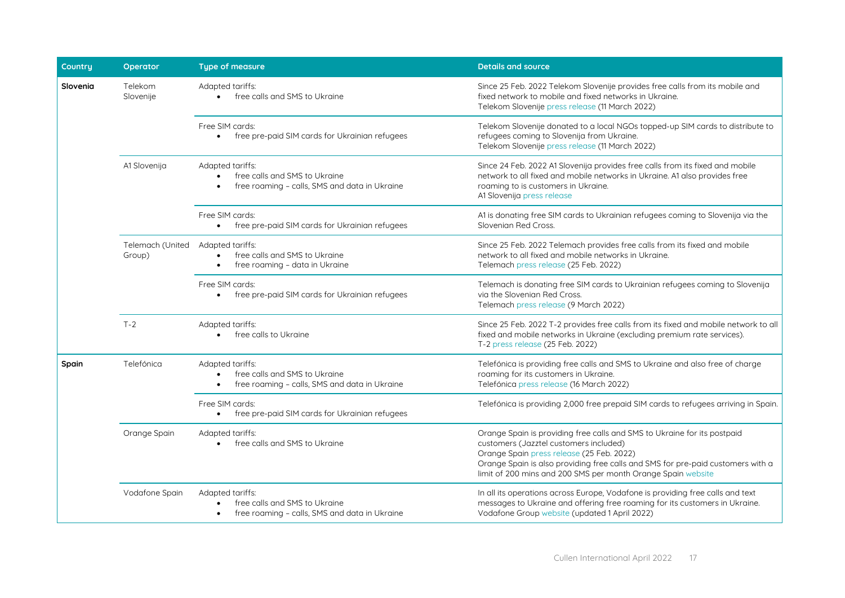| Country  | Operator                   | <b>Type of measure</b>                                                                                          | <b>Details and source</b>                                                                                                                                                                                                                                                                                          |
|----------|----------------------------|-----------------------------------------------------------------------------------------------------------------|--------------------------------------------------------------------------------------------------------------------------------------------------------------------------------------------------------------------------------------------------------------------------------------------------------------------|
| Slovenia | Telekom<br>Slovenije       | Adapted tariffs:<br>free calls and SMS to Ukraine<br>$\bullet$                                                  | Since 25 Feb. 2022 Telekom Slovenije provides free calls from its mobile and<br>fixed network to mobile and fixed networks in Ukraine.<br>Telekom Slovenije press release (11 March 2022)                                                                                                                          |
|          |                            | Free SIM cards:<br>free pre-paid SIM cards for Ukrainian refugees                                               | Telekom Slovenije donated to a local NGOs topped-up SIM cards to distribute to<br>refugees coming to Slovenija from Ukraine.<br>Telekom Slovenije press release (11 March 2022)                                                                                                                                    |
|          | A1 Slovenija               | Adapted tariffs:<br>free calls and SMS to Ukraine<br>free roaming - calls, SMS and data in Ukraine              | Since 24 Feb. 2022 A1 Slovenija provides free calls from its fixed and mobile<br>network to all fixed and mobile networks in Ukraine. A1 also provides free<br>roaming to is customers in Ukraine.<br>A1 Slovenija press release                                                                                   |
|          |                            | Free SIM cards:<br>• free pre-paid SIM cards for Ukrainian refugees                                             | A1 is donating free SIM cards to Ukrainian refugees coming to Slovenija via the<br>Slovenian Red Cross.                                                                                                                                                                                                            |
|          | Telemach (United<br>Group) | Adapted tariffs:<br>free calls and SMS to Ukraine<br>$\bullet$<br>free roaming - data in Ukraine                | Since 25 Feb. 2022 Telemach provides free calls from its fixed and mobile<br>network to all fixed and mobile networks in Ukraine.<br>Telemach press release (25 Feb. 2022)                                                                                                                                         |
|          |                            | Free SIM cards:<br>free pre-paid SIM cards for Ukrainian refugees                                               | Telemach is donating free SIM cards to Ukrainian refugees coming to Slovenija<br>via the Slovenian Red Cross.<br>Telemach press release (9 March 2022)                                                                                                                                                             |
|          | $T-2$                      | Adapted tariffs:<br>free calls to Ukraine                                                                       | Since 25 Feb. 2022 T-2 provides free calls from its fixed and mobile network to all<br>fixed and mobile networks in Ukraine (excluding premium rate services).<br>T-2 press release (25 Feb. 2022)                                                                                                                 |
| Spain    | Telefónica                 | Adapted tariffs:<br>free calls and SMS to Ukraine<br>$\bullet$<br>free roaming - calls, SMS and data in Ukraine | Telefónica is providing free calls and SMS to Ukraine and also free of charge<br>roaming for its customers in Ukraine.<br>Telefónica press release (16 March 2022)                                                                                                                                                 |
|          |                            | Free SIM cards:<br>• free pre-paid SIM cards for Ukrainian refugees                                             | Telefónica is providing 2,000 free prepaid SIM cards to refugees arriving in Spain.                                                                                                                                                                                                                                |
|          | Orange Spain               | Adapted tariffs:<br>free calls and SMS to Ukraine<br>$\bullet$                                                  | Orange Spain is providing free calls and SMS to Ukraine for its postpaid<br>customers (Jazztel customers included)<br>Orange Spain press release (25 Feb. 2022)<br>Orange Spain is also providing free calls and SMS for pre-paid customers with a<br>limit of 200 mins and 200 SMS per month Orange Spain website |
|          | Vodafone Spain             | Adapted tariffs:<br>free calls and SMS to Ukraine<br>free roaming - calls, SMS and data in Ukraine              | In all its operations across Europe, Vodafone is providing free calls and text<br>messages to Ukraine and offering free roaming for its customers in Ukraine.<br>Vodafone Group website (updated 1 April 2022)                                                                                                     |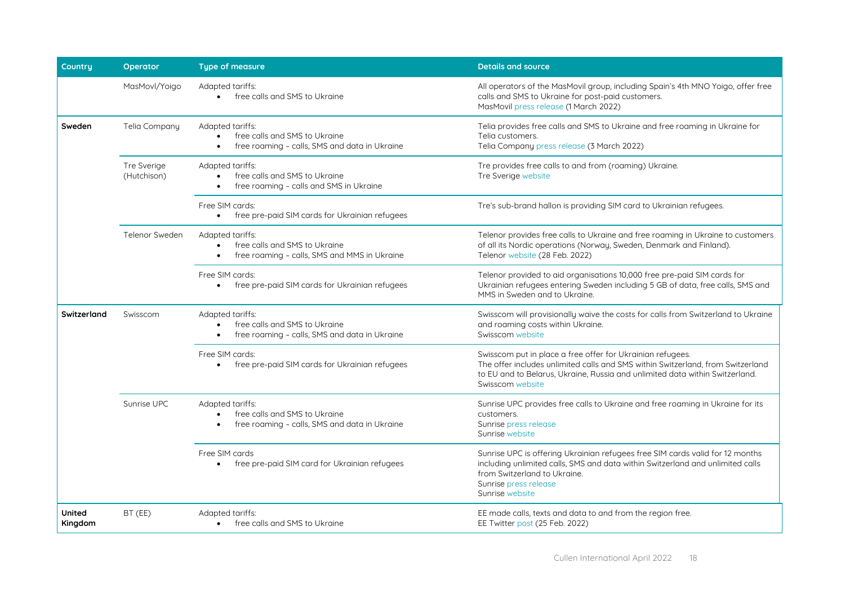| <b>Countru</b>           | Operator                   | <b>Type of measure</b>                                                                                          | <b>Details and source</b>                                                                                                                                                                                                                         |
|--------------------------|----------------------------|-----------------------------------------------------------------------------------------------------------------|---------------------------------------------------------------------------------------------------------------------------------------------------------------------------------------------------------------------------------------------------|
|                          | MasMovl/Yoigo              | Adapted tariffs:<br>free calls and SMS to Ukraine                                                               | All operators of the MasMovil group, including Spain's 4th MNO Yoigo, offer free<br>calls and SMS to Ukraine for post-paid customers.<br>MasMovil press release (1 March 2022)                                                                    |
| Sweden                   | Telia Company              | Adapted tariffs:<br>free calls and SMS to Ukraine<br>free roaming - calls, SMS and data in Ukraine              | Telia provides free calls and SMS to Ukraine and free roaming in Ukraine for<br>Telia customers.<br>Telia Company press release (3 March 2022)                                                                                                    |
|                          | Tre Sverige<br>(Hutchison) | Adapted tariffs:<br>free calls and SMS to Ukraine<br>free roaming - calls and SMS in Ukraine                    | Tre provides free calls to and from (roaming) Ukraine.<br>Tre Sverige website                                                                                                                                                                     |
|                          |                            | Free SIM cards:<br>free pre-paid SIM cards for Ukrainian refugees                                               | Tre's sub-brand hallon is providing SIM card to Ukrainian refugees.                                                                                                                                                                               |
|                          | Telenor Sweden             | Adapted tariffs:<br>free calls and SMS to Ukraine<br>free roaming - calls, SMS and MMS in Ukraine               | Telenor provides free calls to Ukraine and free roaming in Ukraine to customers<br>of all its Nordic operations (Norway, Sweden, Denmark and Finland).<br>Telenor website (28 Feb. 2022)                                                          |
|                          |                            | Free SIM cards:<br>free pre-paid SIM cards for Ukrainian refugees<br>$\bullet$                                  | Telenor provided to aid organisations 10,000 free pre-paid SIM cards for<br>Ukrainian refugees entering Sweden including 5 GB of data, free calls, SMS and<br>MMS in Sweden and to Ukraine.                                                       |
| Switzerland              | Swisscom                   | Adapted tariffs:<br>free calls and SMS to Ukraine<br>free roaming - calls, SMS and data in Ukraine<br>$\bullet$ | Swisscom will provisionally waive the costs for calls from Switzerland to Ukraine<br>and roaming costs within Ukraine.<br>Swisscom website                                                                                                        |
|                          |                            | Free SIM cards:<br>free pre-paid SIM cards for Ukrainian refugees                                               | Swisscom put in place a free offer for Ukrainian refugees.<br>The offer includes unlimited calls and SMS within Switzerland, from Switzerland<br>to EU and to Belarus, Ukraine, Russia and unlimited data within Switzerland.<br>Swisscom website |
|                          | Sunrise UPC                | Adapted tariffs:<br>free calls and SMS to Ukraine<br>free roaming - calls, SMS and data in Ukraine<br>$\bullet$ | Sunrise UPC provides free calls to Ukraine and free roaming in Ukraine for its<br>customers.<br>Sunrise press release<br>Sunrise website                                                                                                          |
|                          |                            | Free SIM cards<br>free pre-paid SIM card for Ukrainian refugees                                                 | Sunrise UPC is offering Ukrainian refugees free SIM cards valid for 12 months<br>including unlimited calls, SMS and data within Switzerland and unlimited calls<br>from Switzerland to Ukraine.<br>Sunrise press release<br>Sunrise website       |
| <b>United</b><br>Kingdom | BT (EE)                    | Adapted tariffs:<br>free calls and SMS to Ukraine<br>$\bullet$                                                  | EE made calls, texts and data to and from the region free.<br>EE Twitter post (25 Feb. 2022)                                                                                                                                                      |